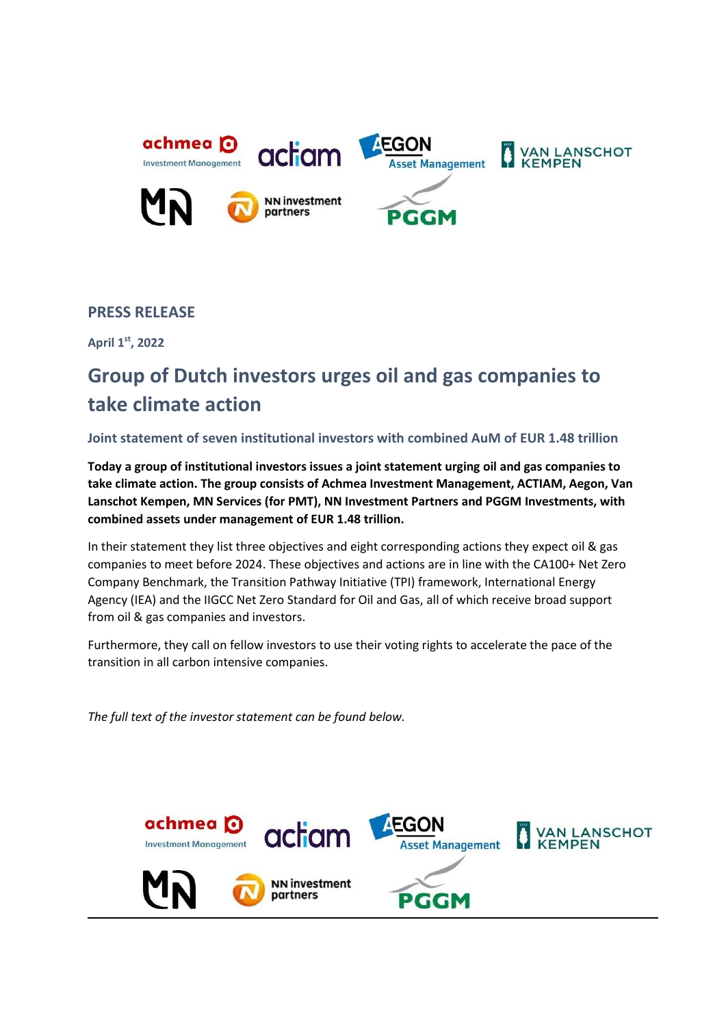

# **PRESS RELEASE**

**April 1st, 2022**

# **Group of Dutch investors urges oil and gas companies to take climate action**

# **Joint statement of seven institutional investors with combined AuM of EUR 1.48 trillion**

**Today a group of institutional investors issues a joint statement urging oil and gas companies to take climate action. The group consists of Achmea Investment Management, ACTIAM, Aegon, Van Lanschot Kempen, MN Services (for PMT), NN Investment Partners and PGGM Investments, with combined assets under management of EUR 1.48 trillion.**

In their statement they list three objectives and eight corresponding actions they expect oil & gas companies to meet before 2024. These objectives and actions are in line with the CA100+ Net Zero Company Benchmark, the Transition Pathway Initiative (TPI) framework, International Energy Agency (IEA) and the IIGCC Net Zero Standard for Oil and Gas, all of which receive broad support from oil & gas companies and investors.

Furthermore, they call on fellow investors to use their voting rights to accelerate the pace of the transition in all carbon intensive companies.

*The full text of the investor statement can be found below.*

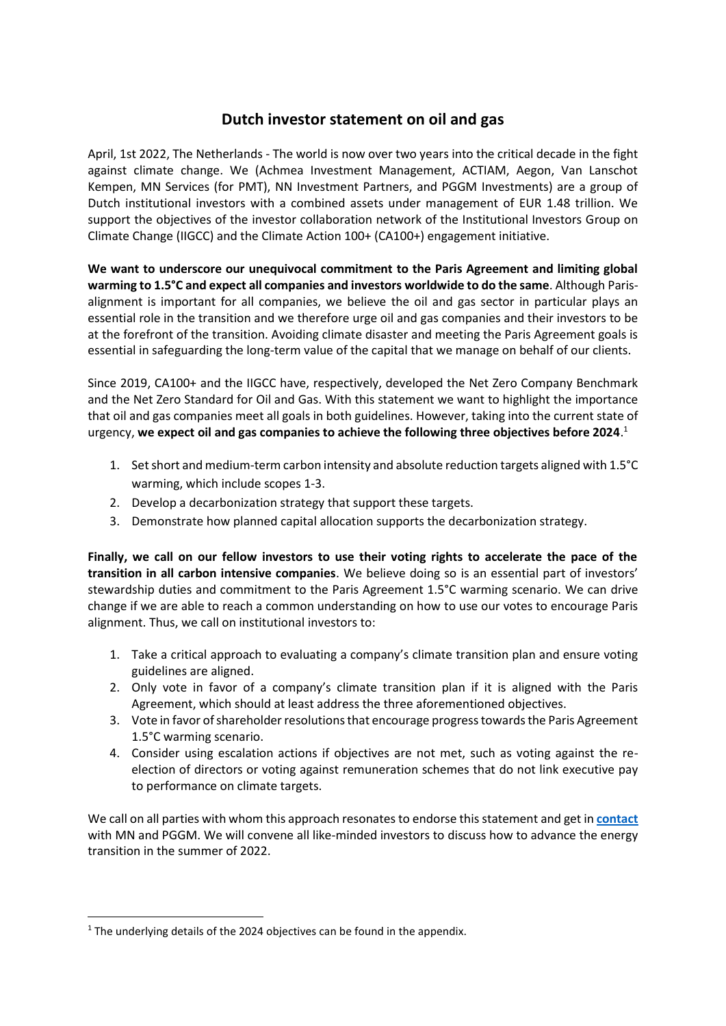# **Dutch investor statement on oil and gas**

April, 1st 2022, The Netherlands - The world is now over two years into the critical decade in the fight against climate change. We (Achmea Investment Management, ACTIAM, Aegon, Van Lanschot Kempen, MN Services (for PMT), NN Investment Partners, and PGGM Investments) are a group of Dutch institutional investors with a combined assets under management of EUR 1.48 trillion. We support the objectives of the investor collaboration network of the Institutional Investors Group on Climate Change (IIGCC) and the Climate Action 100+ (CA100+) engagement initiative.

**We want to underscore our unequivocal commitment to the Paris Agreement and limiting global warming to 1.5°C and expect all companies and investors worldwide to do the same**. Although Parisalignment is important for all companies, we believe the oil and gas sector in particular plays an essential role in the transition and we therefore urge oil and gas companies and their investors to be at the forefront of the transition. Avoiding climate disaster and meeting the Paris Agreement goals is essential in safeguarding the long-term value of the capital that we manage on behalf of our clients.

Since 2019, CA100+ and the IIGCC have, respectively, developed the Net Zero Company Benchmark and the Net Zero Standard for Oil and Gas. With this statement we want to highlight the importance that oil and gas companies meet all goals in both guidelines. However, taking into the current state of urgency, **we expect oil and gas companies to achieve the following three objectives before 2024**. 1

- 1. Set short and medium-term carbon intensity and absolute reduction targets aligned with 1.5°C warming, which include scopes 1-3.
- 2. Develop a decarbonization strategy that support these targets.
- 3. Demonstrate how planned capital allocation supports the decarbonization strategy.

**Finally, we call on our fellow investors to use their voting rights to accelerate the pace of the transition in all carbon intensive companies**. We believe doing so is an essential part of investors' stewardship duties and commitment to the Paris Agreement 1.5°C warming scenario. We can drive change if we are able to reach a common understanding on how to use our votes to encourage Paris alignment. Thus, we call on institutional investors to:

- 1. Take a critical approach to evaluating a company's climate transition plan and ensure voting guidelines are aligned.
- 2. Only vote in favor of a company's climate transition plan if it is aligned with the Paris Agreement, which should at least address the three aforementioned objectives.
- 3. Vote in favor of shareholder resolutions that encourage progress towards the Paris Agreement 1.5°C warming scenario.
- 4. Consider using escalation actions if objectives are not met, such as voting against the reelection of directors or voting against remuneration schemes that do not link executive pay to performance on climate targets.

We call on all parties with whom this approach resonates to endorse this statement and get in **[contact](mailto:ActiveOwnershipPGGM@pggm.nl;bas.bijleveld@mn.nl)** with MN and PGGM. We will convene all like-minded investors to discuss how to advance the energy transition in the summer of 2022.

<sup>&</sup>lt;sup>1</sup> The underlying details of the 2024 objectives can be found in the appendix.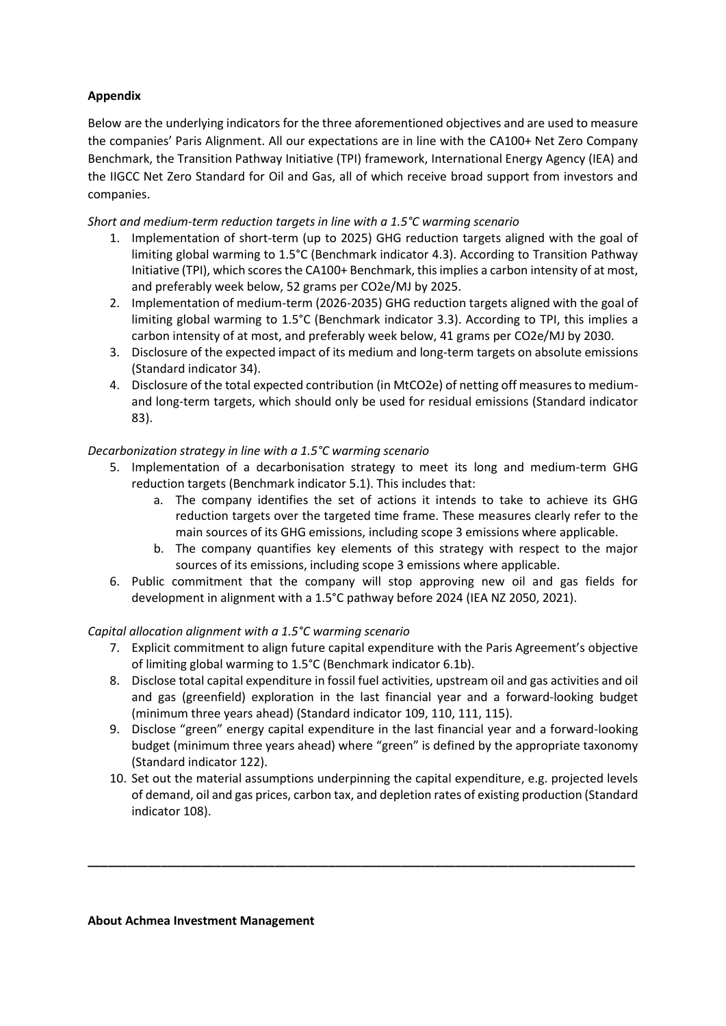# **Appendix**

Below are the underlying indicators for the three aforementioned objectives and are used to measure the companies' Paris Alignment. All our expectations are in line with the CA100+ Net Zero Company Benchmark, the Transition Pathway Initiative (TPI) framework, International Energy Agency (IEA) and the IIGCC Net Zero Standard for Oil and Gas, all of which receive broad support from investors and companies.

*Short and medium-term reduction targets in line with a 1.5°C warming scenario*

- 1. Implementation of short-term (up to 2025) GHG reduction targets aligned with the goal of limiting global warming to 1.5°C (Benchmark indicator 4.3). According to Transition Pathway Initiative (TPI), which scores the CA100+ Benchmark, this implies a carbon intensity of at most, and preferably week below, 52 grams per CO2e/MJ by 2025.
- 2. Implementation of medium-term (2026-2035) GHG reduction targets aligned with the goal of limiting global warming to 1.5°C (Benchmark indicator 3.3). According to TPI, this implies a carbon intensity of at most, and preferably week below, 41 grams per CO2e/MJ by 2030.
- 3. Disclosure of the expected impact of its medium and long-term targets on absolute emissions (Standard indicator 34).
- 4. Disclosure of the total expected contribution (in MtCO2e) of netting off measures to mediumand long-term targets, which should only be used for residual emissions (Standard indicator 83).

## *Decarbonization strategy in line with a 1.5°C warming scenario*

- 5. Implementation of a decarbonisation strategy to meet its long and medium-term GHG reduction targets (Benchmark indicator 5.1). This includes that:
	- a. The company identifies the set of actions it intends to take to achieve its GHG reduction targets over the targeted time frame. These measures clearly refer to the main sources of its GHG emissions, including scope 3 emissions where applicable.
	- b. The company quantifies key elements of this strategy with respect to the major sources of its emissions, including scope 3 emissions where applicable.
- 6. Public commitment that the company will stop approving new oil and gas fields for development in alignment with a 1.5°C pathway before 2024 (IEA NZ 2050, 2021).

## *Capital allocation alignment with a 1.5°C warming scenario*

- 7. Explicit commitment to align future capital expenditure with the Paris Agreement's objective of limiting global warming to 1.5°C (Benchmark indicator 6.1b).
- 8. Disclose total capital expenditure in fossil fuel activities, upstream oil and gas activities and oil and gas (greenfield) exploration in the last financial year and a forward-looking budget (minimum three years ahead) (Standard indicator 109, 110, 111, 115).
- 9. Disclose "green" energy capital expenditure in the last financial year and a forward-looking budget (minimum three years ahead) where "green" is defined by the appropriate taxonomy (Standard indicator 122).
- 10. Set out the material assumptions underpinning the capital expenditure, e.g. projected levels of demand, oil and gas prices, carbon tax, and depletion rates of existing production (Standard indicator 108).

**\_\_\_\_\_\_\_\_\_\_\_\_\_\_\_\_\_\_\_\_\_\_\_\_\_\_\_\_\_\_\_\_\_\_\_\_\_\_\_\_\_\_\_\_\_\_\_\_\_\_\_\_\_\_\_\_\_\_\_\_\_\_\_\_\_\_\_\_\_\_\_\_\_\_\_\_\_\_\_\_\_\_**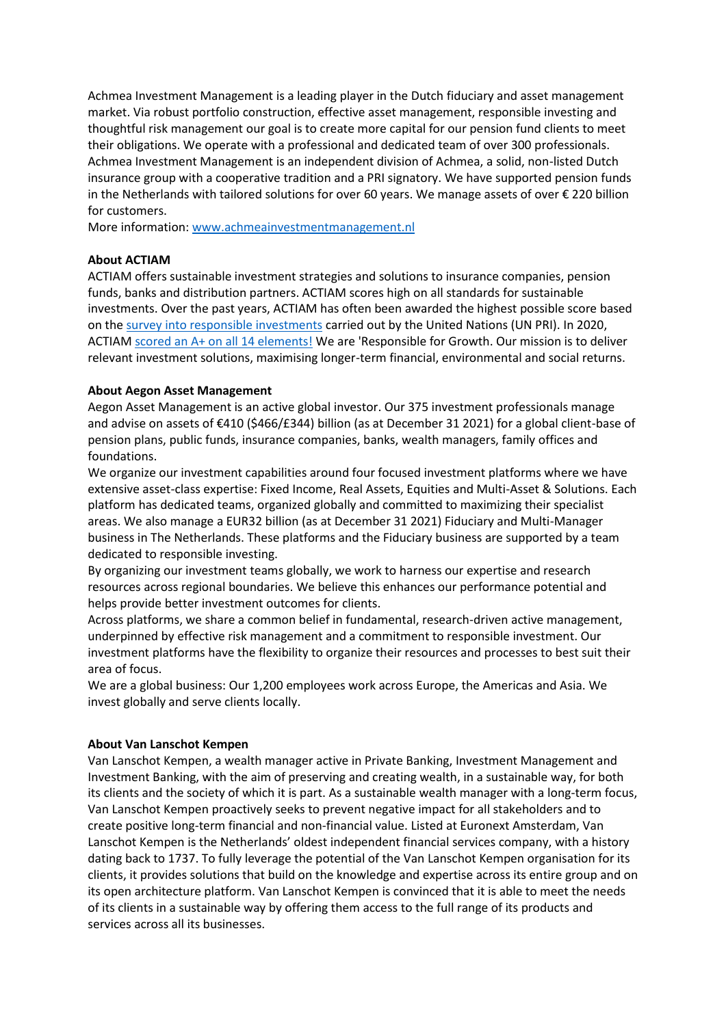Achmea Investment Management is a leading player in the Dutch fiduciary and asset management market. Via robust portfolio construction, effective asset management, responsible investing and thoughtful risk management our goal is to create more capital for our pension fund clients to meet their obligations. We operate with a professional and dedicated team of over 300 professionals. Achmea Investment Management is an independent division of Achmea, a solid, non-listed Dutch insurance group with a cooperative tradition and a PRI signatory. We have supported pension funds in the Netherlands with tailored solutions for over 60 years. We manage assets of over € 220 billion for customers.

More information[: www.achmeainvestmentmanagement.nl](http://www.achmeainvestmentmanagement.nl/)

#### **About ACTIAM**

ACTIAM offers sustainable investment strategies and solutions to insurance companies, pension funds, banks and distribution partners. ACTIAM scores high on all standards for sustainable investments. Over the past years, ACTIAM has often been awarded the highest possible score based on the [survey into responsible investments](https://reporting.unpri.org/surveys/PRI-reporting-framework-2020/45041E15-E786-4149-82EF-FAAF700A6BED/79894dbc337a40828d895f9402aa63de/html/2/?lang=en&a=1) carried out by the United Nations (UN PRI). In 2020, ACTIAM [scored an A+ on all 14 elements!](https://www.actiam.com/4a28e6/siteassets/3_over-actiam/documenten/en/2020-assessment-report-for-actiam.pdf) We are 'Responsible for Growth. Our mission is to deliver relevant investment solutions, maximising longer-term financial, environmental and social returns.

#### **About Aegon Asset Management**

Aegon Asset Management is an active global investor. Our 375 investment professionals manage and advise on assets of €410 (\$466/£344) billion (as at December 31 2021) for a global client-base of pension plans, public funds, insurance companies, banks, wealth managers, family offices and foundations.

We organize our investment capabilities around four focused investment platforms where we have extensive asset-class expertise: Fixed Income, Real Assets, Equities and Multi-Asset & Solutions. Each platform has dedicated teams, organized globally and committed to maximizing their specialist areas. We also manage a EUR32 billion (as at December 31 2021) Fiduciary and Multi-Manager business in The Netherlands. These platforms and the Fiduciary business are supported by a team dedicated to responsible investing.

By organizing our investment teams globally, we work to harness our expertise and research resources across regional boundaries. We believe this enhances our performance potential and helps provide better investment outcomes for clients.

Across platforms, we share a common belief in fundamental, research-driven active management, underpinned by effective risk management and a commitment to responsible investment. Our investment platforms have the flexibility to organize their resources and processes to best suit their area of focus.

We are a global business: Our 1,200 employees work across Europe, the Americas and Asia. We invest globally and serve clients locally.

#### **About Van Lanschot Kempen**

Van Lanschot Kempen, a wealth manager active in Private Banking, Investment Management and Investment Banking, with the aim of preserving and creating wealth, in a sustainable way, for both its clients and the society of which it is part. As a sustainable wealth manager with a long-term focus, Van Lanschot Kempen proactively seeks to prevent negative impact for all stakeholders and to create positive long-term financial and non-financial value. Listed at Euronext Amsterdam, Van Lanschot Kempen is the Netherlands' oldest independent financial services company, with a history dating back to 1737. To fully leverage the potential of the Van Lanschot Kempen organisation for its clients, it provides solutions that build on the knowledge and expertise across its entire group and on its open architecture platform. Van Lanschot Kempen is convinced that it is able to meet the needs of its clients in a sustainable way by offering them access to the full range of its products and services across all its businesses.